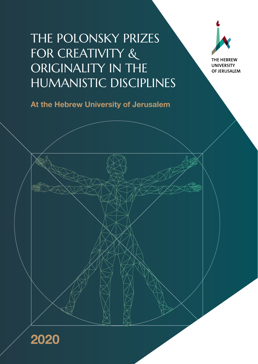## THE POLONSKY PRIZES FOR CREATIVITY & ORIGINALITY IN THE HUMANISTIC DISCIPLINES



**THE HEBREW UNIVERSITY** OF JERUSALEM

**At the Hebrew University of Jerusalem**

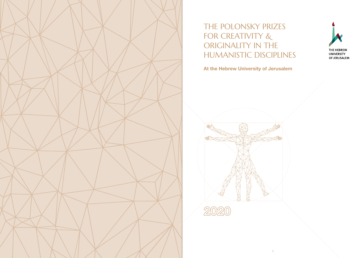





THE POLONSKY PRIZES FOR CREATIVITY & ORIGINALITY IN THE HUMANISTIC DISCIPLINES

**At the Hebrew University of Jerusalem**

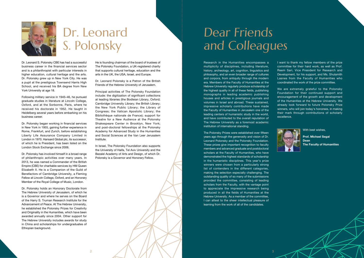Dr. Leonard S. Polonsky CBE has had a successful business career in the financial services sector and is a philanthropist with particular interests in higher education, cultural heritage and the arts. Dr. Polonsky grew up in New York City. He was a pupil at the prestigious Townsend Harris High School, and received his BA degree from New York University at age 18.

Following military service in 1945–46, he pursued graduate studies in literature at Lincoln College, Oxford, and at the Sorbonne, Paris, where he received his doctorate in 1952. He taught in Heidelberg several years before embarking on his business career.

Dr. Polonsky began working in financial services in New York in 1955, gaining further experience in Rome, Frankfurt, and Zurich, before establishing Liberty Life Assurance Company Limited in London in 1970. Hansard Global plc, its successor, of which he is President, has been listed on the London Stock Exchange since 2006.

Dr. Polonsky has involved himself in a broad range of philanthropic activities over many years. In 2013, he was named a Commander of the British Empire (CBE) for charitable services by HM Queen Elizabeth II. He is a Companion of the Guild of Benefactors of Cambridge University, a Fleming Fellow at Lincoln College, Oxford, and an Honorary Member of the Royal College of Music, London.

Dr. Polonsky holds an Honorary Doctorate from The Hebrew University of Jerusalem, of which he is a Governor and where he serves on the Board of the Harry S. Truman Research Institute for the Advancement of Peace. At The Hebrew University, he established the Polonsky Prizes for Creativity and Originality in the Humanities, which have been awarded annually since 2004. Other support for The Hebrew University includes awards for study in China and scholarships for undergraduates of Ethiopian background.



# Dr. Leonard S. Polonsky

He is founding chairman of the board of trustees of The Polonsky Foundation, a UK-registered charity that supports cultural heritage, education and the arts in the UK, the USA, Israel, and Europe.

Dr. Leonard Polonsky is a Patron of the British Friends of the Hebrew University of Jerusalem.

Principal activities of The Polonsky Foundation include: the digitization of significant collections at leading libraries (the Bodleian Library, Oxford; Cambridge University Library; the British Library; the New York Public Library; the Library of Congress; the Vatican Apostolic Library; the Bibliothèque nationale de France); support for Theatre for a New Audience at the Polonsky Shakespeare Center in Brooklyn, New York; and post-doctoral fellowships at the Polonsky Academy for Advanced Study in the Humanities and Social Sciences at the Van Leer Jerusalem Institute.

In Israel, The Polonsky Foundation also supports the University of Haifa, Tel Aviv University and the Bezalel Academy of Arts and Design, of which Dr. Polonsky is a Governor and Honorary Fellow.

## Dear Friends and Colleagues

Research in the Humanities encompasses a multiplicity of disciplines, including literature, history, archeology, art, cognition, linguistics and philosophy, and an even broader range of cultures and corpora, from antiquity through the modern era. Members of the Faculty of Humanities at the Hebrew University regularly produce scholarship of the highest quality in all of these fields, publishing monographs in leading academic publishing houses and articles in prestigious journals and volumes in Israel and abroad. These sustained, impressive scholarly contributions have made the Faculty of Humanities in Jerusalem one of the leading centers of humanistic study in the world, and have contributed to the overall reputation of The Hebrew University as a foremost academic institution of international standing.

The Polonsky Prizes were established over fifteen years ago through the generosity and vision of Dr. Leonard Polonsky and the Polonsky Foundation. These prizes give important recognition to faculty members and advanced graduate and postdoctoral scholars at the Faculty of Humanities, who have demonstrated the highest standards of scholarship in the humanistic disciplines. This year's prize winners were chosen from a particularly strong list of contenders in the different categories, making the selection especially challenging. The outstanding quality of so many of the submissions provided the committee, consisting of leading scholars from the Faculty, with the vantage point to appreciate the impressive research being produced in all the fields of Humanities at the Hebrew University. As a member of the committee, I can attest to the sheer intellectual pleasure of learning from the work of all of the candidates.



I want to thank my fellow members of the prize committee for their hard work, as well as Prof. Reem Sari, Vice President for Research and Development, for his support, and Ms. Shulamith Lasnes from the Faculty of Humanities who coordinated the work of the prize committee.

We are extremely grateful to the Polonsky Foundation for their continued support and encouragement of the growth and development of the Humanities at the Hebrew University. We already look forward to future Polonsky Prize winners, who will join today's honorees, in making their mark through contributions of scholarly excellence.



With best wishes,

**Prof. Michael Segal Dean The Faculty of Humanities**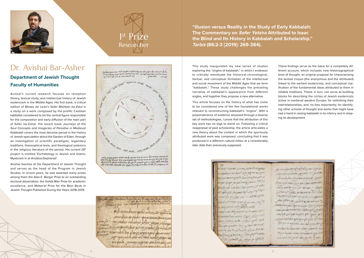## Dr. Avishai Bar-Asher **Department of Jewish Thought Faculty of Humanities**





This study inaugurated my new series of studies exploring the "origins of kabbalah," in which I endeavor to critically reevaluate the historical-chronological, textual, and conceptual formation of the intellectual and social movement of the Middle Ages that we term "kabbalah." These study challenges the prevailing narrative of kabbalah's appearance from different angles, and together they propose a new alternative.

This article focuses on the history of what has come to be considered one of the few foundational works relevant to reconstructing kabbalah's "origins". With a preponderance of evidence amassed through a diverse set of methodologies, I prove that the attribution of this key work has no legs to stand on. Following a critical reappraisal of past scholarship, the article articulates a new theory about the context in which the spuriously attributed work was composed, concluding that it was produced in a different cultural milieu at a considerably later date than previously supposed.

> נתקעולה של אינו שיסכום חמימתי וקטום חיפ נגם שם קצוק ופנה למעלוננה יופטלוני על אלה מעולון שאין למעל אלאופנים שמההתה מקור תו ציאל ישכחות עשעים משקיעל העשור chan le avant exchanges appeared עשם לקבל קקרוב לקבל ממשק שלן בבען ומוכס ולה תמון שונה - כב אורוע אילן מטר וולקטו ונאר עמולוג שניב מטלס ולבד לאילו אלו כל חזמות עליש הטועות לאת

> כתו ענטו ואינג תומנת אלב שונו מואים נוחק תולטוק כפורה ביחונטן תוכל משומות אל אינפ למען ליפולורט לאמור ונקלנק נבותה יוע טוקס לבבתו נית בחומרך או בנט האר אבל מתחלוך קפיבוליושו כל אחר ושלו מצ שמעולאומן במו עין ין סטופטיקליו איגואוף אין וקטוון בתי ורועיעו בילן

 $4$  5  $\pm$  5  $\pm$  5  $\pm$  5  $\pm$  5  $\pm$  5  $\pm$  5  $\pm$  5  $\pm$  5  $\pm$  5  $\pm$  5  $\pm$  5  $\pm$  5  $\pm$  5  $\pm$  5  $\pm$  5  $\pm$  5  $\pm$  5  $\pm$  5  $\pm$  5  $\pm$  5  $\pm$  5  $\pm$  5  $\pm$  5  $\pm$  5  $\pm$  5  $\pm$  5  $\pm$  5  $\pm$  5  $\pm$  5  $\pm$  5  $\pm$ 

**"Illusion versus Reality in the Study of Early Kabbalah: The Commentary on Sefer Yetzira Attributed to Isaac the Blind and Its History in Kabbalah and Scholarship," Tarbiz (86:2-3 [2019]: 269-384).**

> These findings serve as the basis for a completely different account, which includes new historiographical lines of thought, an original proposal for characterizing the textual corpus (the anonymous and the attributed) linked to the earliest esotericists, and conceptual clarification of the fundamental ideas attributed to them in reliable traditions. These, in turn, can serve as building blocks for describing the circles of Jewish esotericists active in medieval western Europe, for rethinking their interrelationships, and, no less importantly, for identifying other schools of thought and works that might have had a hand in raising kabbalah in its infancy and in shaping its development.

כג תקיין ויתור מיילקים לקו חווכותלי ויו ומו חטכנו - זת ישון ייא מעוב אפומיווטי אותיות לקשתיות לאמור לב אלי להקבי תו קלות שיופנו נחופין אות ע בי נבואין אומו שפילו יעס חסב התבינה קל תעווע נעזו של יולכלו כי מינו מי עם שלוני לינו תומלשלו معدم معدد والا ماديد (م معدد الا الا الالالاله יה תנוס שקס תורוני תנתולועון שאיך ושל קבור ונקיוק וס נה תקלים אם קשות הנהן וישאן שנמואן Will Full mast (Ac) Will was the continues שיאו שנחוה כישן שלענים כמון חותו לערכונה שכל לוד שיתון וביף ייצא למות עולם ועל איתוקים : ן חלק נברגו כתב ימה והאכן לקום עי זה אלק תר עול מעלות מקלים ועלל מעל מעל מעלי al use dissure nome not a was of says all המעקל ולוחיותר תולף לוחיותם כולל שומו בפנינו

Avishai's current research focuses on reception theory, textual study, and intellectual history of Jewish esotericism in the Middle Ages. His first book, a critical edition of Moses de León's *Sefer Mishkan ha-Edut* is a study on a work composed by the prolific Castilian kabbalist considered to be the central figure responsible for the composition and early diffusion of the main part of Sefer ha-Zohar. His recent book *Journeys of the Soul Concepts and Imageries of Paradise in Medieval Kabbalah* covers the most decisive period in the history of Jewish speculation about the Garden of Eden, through an investigation of scientific paradigms, legendary traditions, theosophical texts, and theological polemics in the religious literature of the period. His current *ISF* project is entitled 'Eschatology in Jewish and Islamic Mysticism in al-Andalus/Sepharad'.

Avishai teaches at the Department of Jewish Thought and serves as the head of the Program in Jewish Studies. In recent years, he was awarded many prizes among them the Alex E. Berger Prize to an outstanding doctoral dissertation, the Golda Meir Prize for academic excellence, and *Matan'el* Prize for the Best Book in Jewish Thought Published During the Years 2018-2019.



the queen גם נשכים קביב דין לעו מחלוש ומשוט לעינו לישר au coust water operfor dag se well where נע נפלוב עני הני נקירב בן בעו חומי קשלג עוני עין meters יכנלוחלים ונצ קשל קיינג אלם לוף מוחל ליך קקישו נפוע בעולות בחוץ נה כול למקום כפרעב וק בגלן שעל קעלים ורקנים כעשל כנק הנין חומי בס ומטקה וקבועים קרבס ולס עולב ונג נשנט שניא נמת תגבקות ופשיעוכי עםק שי alor in a days are you.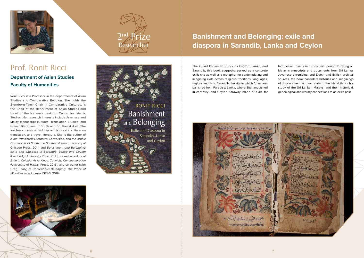## Prof. Ronit Ricci **Department of Asian Studies Faculty of Humanities**





The island known variously as Ceylon, Lanka, and Sarandib, this book suggests, served as a concrete exilic site as well as a metaphor for contemplating and imagining exile across religious traditions, languages, regions and time: Sarandib, the site to which Adam was banished from Paradise; Lanka, where Sita languished in captivity; and Ceylon, faraway island of exile for





## **Banishment and Belonging: exile and diaspora in Sarandib, Lanka and Ceylon**

Ronit Ricci is a Professor in the departments of Asian Studies and Comparative Religion. She holds the Sternberg-Tamir Chair in Comparative Cultures, is the Chair of the department of Asian Studies and Head of the Nehemia Levtzion Center for Islamic Studies. Her research interests include Javanese and Malay manuscript cultures, Translation Studies, and Islamic literatures of South and Southeast Asia. She teaches courses on Indonesian history and culture, on translation, and travel literature. She is the author of *Islam Translated: Literature, Conversion, and the Arabic Cosmopolis of South and Southeast Asia* (University of Chicago Press, 2011) and *Banishment and Belonging: exile and diaspora in Sarandib, Lanka and Ceylon* (Cambridge University Press, 2019), as well as editor of *Exile in Colonial Asia: Kings, Convicts, Commemoration* (University of Hawaii Press, 2016), and co-editor (with Greg Fealy) of *Contentious Belonging: The Place of Minorities in Indonesia* (ISEAS, 2019).



Indonesian royalty in the colonial period. Drawing on Malay manuscripts and documents from Sri Lanka, Javanese chronicles, and Dutch and British archival sources, the book considers histories and imaginings of displacement as they relate to the island through a study of the Sri Lankan Malays, and their historical, genealogical and literary connections to an exilic past.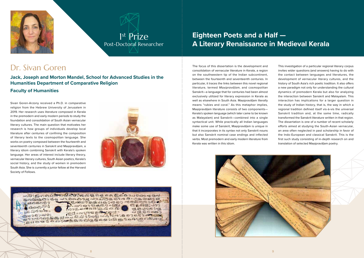

# 1 st Prize Post-Doctoral Researcher

## Dr. Sivan Goren

**Jack, Joseph and Morton Mandel, School for Advanced Studies in the Humanities Department of Comparative Religion Faculty of Humanities**

The focus of this dissertation is the development and consolidation of vernacular literature in Kerala, a region on the southwestern tip of the Indian subcontinent, between the fourteenth and seventeenth centuries. In particular, it traces the links between this novel regional literature, termed *Maṇipravāḷam*, and cosmopolitan Sanskrit—a language that for centuries had been almost exclusively utilized for literary expression in Kerala as well as elsewhere in South Asia. Manipravālam literally means "rubies and coral." As this metaphor implies, Maṇipravāḷam literature consists of two components— Kerala's spoken language (which later came to be known as Malayalam) and Sanskrit—combined into a single syntactical unit. While practically all Indian languages make some use of Sanskrit, Maṇipravāḷam is unique in that it incorporates in its syntax not only Sanskrit nouns but also Sanskrit nominal case endings and inflected verbs. Most premodern and early modern literature from Kerala was written in this idiom.



Sivan Goren-Arzony received a Ph.D. in comparative religion from the Hebrew University of Jerusalem in 2019. Her research uses literature composed in Kerala in the premodern and early modern periods to study the foundation and consolidation of South Asian vernacular literary cultures. The main question that motivates her research is how groups of individuals develop local literature after centuries of confining the composition of literary texts to the cosmopolitan language. She works on poetry composed between the fourteenth and seventeenth centuries in Sanskrit and Manipravālam, a literary idiom combining Sanskrit with Kerala's spoken language. Her areas of interest include literary theory, vernacular literary cultures, South Asian poetics, Kerala's social history, and the study of women in premodern South Asia. She is currently a junior fellow at the Harvard Society of Fellows.





## **Eighteen Poets and a Half — A Literary Renaissance in Medieval Kerala**

This investigation of a particular regional literary corpus invites wider questions (and answers) having to do with the contact between languages and literatures, the development of vernacular literary cultures, and the history of South Asia's rich poetic tradition. It also offers a new paradigm not only for understanding the cultural dynamics of premodern Kerala but also for analyzing the interaction between Sanskrit and Malayalam. This interaction has implications for a larger question in the study of Indian history, that is, the way in which a regional tradition defined itself vis-à-vis the universal Sanskrit tradition and, at the same time, radically transformed the Sanskrit literature written in that region. The dissertation is one of a number of recent scholarly efforts aimed at studying the South-Asian vernacular, an area often neglected in past scholarship in favor of the Indo-European and classical Sanskrit. This is the first such study consisting of in-depth research on and translation of selected Maṇipravāḷam poetry.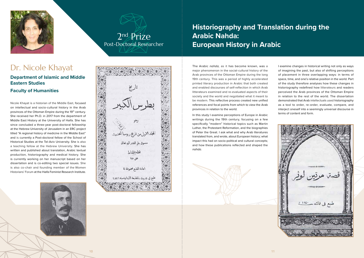## Dr. Nicole Khayat

## **Department of Islamic and Middle Eastern Studies**

### **Faculty of Humanities**

The Arabic *nahda,* as it has become known, was a major phenomenon in the social-cultural history of the Arab provinces of the Ottoman Empire during the long 19th century. This was a period of highly accelerated printed literary production in Arabic that both created and enabled discourses of self-reflection in which Arab litterateurs examined and re-evaluated aspects of their society and the world and negotiated what it meant to be modern. This reflective process created new unified references and focal points from which to view the Arab provinces in relation to the world.

In this study I examine perceptions of Europe in Arabic writings during the 19th century, focusing on a few specifically "modern" historical topics such as Martin Luther, the Protestant Reformation, and the biographies of Peter the Great. I ask what and why Arab literatures translated from, and wrote, about European history; what impact this had on socio-political and cultural concepts; and how these publications reflected and shaped the *nahda*.





Nicole Khayat is a historian of the Middle East, focused on intellectual and socio-cultural history in the Arab provinces of the Ottoman Empire during the 19<sup>th</sup> century. She received her Ph.D. in 2017 from the department of Middle East History at the University of Haifa. She has since concluded a three-year post-doctoral fellowship at the Hebrew University of Jerusalem in an ERC project titled "A regional history of medicine in the Middle East" and is currently a Post-doctoral fellow of the School of Historical Studies at the Tel-Aviv University. She is also a teaching fellow at the Hebrew University. She has written and published about translation, Arabic textual production, historiography and medical history. She is currently working on her manuscript based on her dissertation and is co-editing two special issues. She is also co-chair and founding member of the Women Historians' Forum at the Haifa Feminist Research Institute.

لمجلد الاول من تاريخ روسيا الحديث منسوق بقلم الفقير اليو قعالى بخله قلفاه اعادة الطبع محفوظة لة لبعرفي يبروت بالمطبعة اللبنانيةسنة ٨٨٦

## **Historiography and Translation during the Arabic Nahda: European History in Arabic**

I examine changes in historical writing not only as ways of imagining the past, but also of shifting perceptions of placement in three overlapping ways: in terms of space, time, and one's relative position in the world. Part of the study therefore analyses how these changes in historiography redefined how litterateurs and readers perceived the Arab provinces of the Ottoman Empire in relation to the rest of the world. The dissertation demonstrated that Arab intellectuals used historiography as a tool to order, re-order, evaluate, compare, and interject oneself into a seemingly universal discourse in terms of content and form.





## 2nd Prize Post-Doctoral Researcher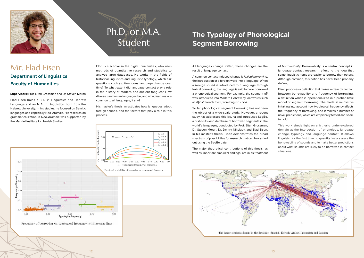

## Mr. Elad Eisen **Department of Linguistics Faculty of Humanities**

All languages change. Often, these changes are the result of language contact.

A common contact-induced change is *lexical borrowing*, the introduction of a foreign word into a language. When a *foreign sound* is introduced to a language through lexical borrowing, the language is said to have borrowed a phonological segment. For example, the segment /tʃ/ was introduced into Modern Hebrew by loanwords such as /tʃips/ 'french fries', from English *chips*.

So far, phonological segment borrowing has not been the object of a wide-scale study. However, a recent study has addressed this lacuna and introduced SegBo, a first-of-its-kind database of borrowed segments in the world's languages, conducted by Prof. Eitan Grossman, Dr. Steven Moran, Dr. Dmitry Nikolaev, and Elad Eisen. In his master's thesis, Eisen demonstrates the broad spectrum of possibilities for research that can be carried out using the SegBo data.

The major theoretical contributions of this thesis, as well as important empirical findings, are in its treatment



## **The Typology of Phonological Segment Borrowing**

of *borrowability*. Borrowability is a central concept in language contact research, reflecting the idea that some linguistic items are easier to borrow than others. Although common, this notion has never been properly defined.

Eisen proposes a definition that makes a clear distinction between borrowability and frequency of borrowing, a definition which is operationalized in a probabilistic model of segment borrowing. The model is innovative in taking into account how typological frequency affects the frequency of borrowing, and it makes a number of novel predictions, which are empirically tested and seem to hold.

This work sheds light on a hitherto under-explored domain at the intersection of phonology, language change, typology and language contact. It allows linguists, for the first time, to quantitatively assess the borrowability of sounds and to make better predictions about what sounds are likely to be borrowed in contact situations.

**Supervisors:** Prof. Eitan Grossman and Dr. Steven Moran

Elad Eisen holds a B.A. in Linguistics and Hebrew Language and an M.A. in Linguistics, both from the Hebrew University. In his studies, he focused on Semitic languages and especially Neo-Aramaic. His research on grammaticalization in Neo-Aramaic was supported by the Mandel Institute for Jewish Studies.

# Ph.D. or M.A. Student

Elad is a scholar in the digital humanities, who uses methods of quantitative research and statistics to analyze large databases. He works in the fields of historical linguistics and linguistic typology, which ask questions such as: How does language change over time? To what extent did language contact play a role in the history of modern and ancient tongues? How diverse can human languages be, and what features are common to all languages, if any?

His master's thesis investigates how languages adopt foreign sounds, and the factors that play a role in this process.

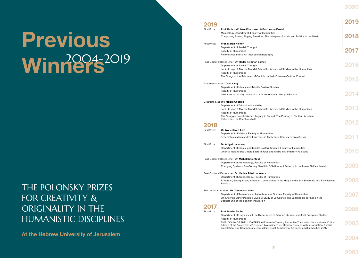# 2004-2019 **Winners Previous**

Department of Jewish Thought Jack, Joseph & Morton Mandel School for Adva Faculty of Humanities The Songs of the Sabbatian Ma'aminim in their

First Prize: **Prof. Maren Niehoff**

Department of Jewish Thought Faculty of Humanities Philo of Alexandria. An Intellectual Biography

### Post-Doctoral Researcher: **Dr. Hadar Feldman Samet**

Department of History, Faculty of Humanities Schemata as Maps and Editing Tools in Thirtee

### Graduate Student: **Qiao Yang**

Department of Islamic and Middle Eastern Stud Faculty of Humanities Like Stars in the Sky: Networks of Astronomers

### Graduate Student: **Moishi Chechik**

Department of Archaeology, Faculty of Humani Armenian, Georgian and Albanian Communitie Periods

Department of Talmud and Halakha Jack, Joseph & Morton Mandel School for Adva Faculty of Humanities The Struggle over Ashkenazi Legacy in Poland: Poland and the Reactions to It

## **2018**<br>First Prize:

### **Dr. Ayelet Even-Ezra**

Department of Romance and Latin American St On Knowing Other People's Lives: A Study of La Background of the Spanish Inquisition

## **2017**<br>First Prize:

### **Prof. Moshe Taube** Department of Linguistics & the Department of Faculty of Humanities THE LOGIKA OF THE JUDAIZERS: A Fifteenth-Edition of the Slavic Texts Presented Alongside Translation, and Commentary, Jerusalem: Israe

### First Prize: **Dr. Abigail Jacobson**

Department of Islamic and Middle Eastern Stud Oriental Neighbors: Middle Eastern Jews and A

### Post-Doctoral Researcher: **Dr. Michal Birkenfeld**

Department of Archaeology, Faculty of Humani Changing Systems: Pre-Pottery Neolithic B Set

### Post-Doctoral Researcher: **Dr. Yanina Tchekhanovets**

### Ph.D. or M.A. Student: **Mr. Yehonatan Naeh**

## THE POLONSKY PRIZES FOR CREATIVITY & ORIGINALITY IN THE HUMANISTIC DISCIPLINES

**At the Hebrew University of Jerusalem**

## **2019**<br>First Prize:

**Prof. Ruth HaCohen (Pinczower) & Prof. Yaron** Musicology Department, Faculty of Humanities Composing Power, Singing Freedom, The Inter **2020**

|                                                                                                                                                                                                      | AV AV       |
|------------------------------------------------------------------------------------------------------------------------------------------------------------------------------------------------------|-------------|
|                                                                                                                                                                                                      | 2019        |
| ı Ezrahi                                                                                                                                                                                             |             |
| play of Music and Politics in the West                                                                                                                                                               | 2018        |
|                                                                                                                                                                                                      | <b>2017</b> |
| anced Studies in the Humanities                                                                                                                                                                      | 2016        |
| <b>Ottoman Cultural Context</b>                                                                                                                                                                      | 2015        |
| lies                                                                                                                                                                                                 |             |
| s in Mongol Eurasia                                                                                                                                                                                  | 2014        |
| anced Studies in the Humanities                                                                                                                                                                      | 2013        |
| : The Printing of Shulhan Aruch in                                                                                                                                                                   | 2012        |
| nth-Century Scholasticism                                                                                                                                                                            | 2011        |
| lies, Faculty of Humanities<br>Arabs in Mandatory Palestine                                                                                                                                          | 2010        |
| ities<br>tlement Patterns in the Lower Galilee, Israel                                                                                                                                               | 200         |
| ities<br>s in the Holy Land in the Byzantine and Early Islamic                                                                                                                                       | 200         |
| tudies, Faculty of Humanities<br>a Galatea and Lazarillo de Tormes on the                                                                                                                            | 2007        |
|                                                                                                                                                                                                      | 200         |
| German, Russian and East European Studies,<br>Century Ruthenian Translation from Hebrew, Critical<br>E Their Hebrew Sources with Introduction, English<br>I Academy of Sciences and Humanities 2016. | 200         |
|                                                                                                                                                                                                      |             |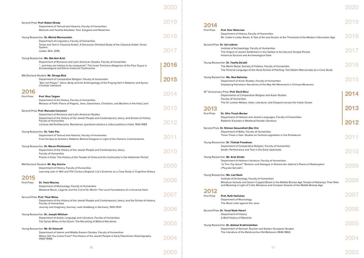|                                      | Second Prize: Prof. Robert Brody                                                                                               |      |
|--------------------------------------|--------------------------------------------------------------------------------------------------------------------------------|------|
|                                      | Department of Talmud and Halacha, Faculty of Humanities                                                                        |      |
|                                      | Mishnah and Tosefta Ketubbot: Text, Exegesis and Redaction                                                                     |      |
|                                      |                                                                                                                                |      |
|                                      | Young Researcher: Dr. Michal Marmorstein                                                                                       | 2018 |
|                                      | Department of Linguistics, Faculty of Humanities                                                                               |      |
|                                      | Tense and Text in Classical Arabic: A Discourse-Oriented Study of the Classical Arabic Tense                                   |      |
|                                      | System.                                                                                                                        |      |
|                                      | Leiden: Brill. 2016.                                                                                                           |      |
|                                      | Young Researcher: Ms. Bat-Ami Artzi                                                                                            |      |
|                                      | Department of Romance and Latin American Studies, Faculty of Humanities                                                        |      |
|                                      | "and they are Indians to be conquered": The Incas' Feminine Allegories of the Four Suyus in                                    |      |
|                                      | Archaeological and Ethno-historical Testimonies                                                                                |      |
|                                      |                                                                                                                                |      |
|                                      | MA/Doctoral Student: Mr. Shraga Bick                                                                                           |      |
|                                      | Department of Comparative Religion, Faculty of Humanities                                                                      |      |
|                                      | "But I am Prayer": Voice, Body and the Anthropology of the Praying Self in Rabbinic and Syriac-<br><b>Christian Literature</b> |      |
|                                      |                                                                                                                                |      |
| 2016                                 |                                                                                                                                |      |
| First Prize:                         | <b>Prof. Rina Talgam</b>                                                                                                       |      |
|                                      | Department of Art History, Faculty of Humanities                                                                               |      |
|                                      | Mosaics of Faith: Floors of Pagans, Jews, Samaritans, Christians, and Muslims in the Holy Land                                 |      |
|                                      |                                                                                                                                |      |
|                                      | Second Prize: Prof. Manuela Consonni                                                                                           |      |
|                                      | Department of Romance and Latin American Studies                                                                               |      |
|                                      | Department of the History of the Jewish People and Contemporary Jewry, and School of History<br><b>Faculty of Humanities</b>   |      |
|                                      | L'eclisse dell'Antifascismo. Resistenza, questione ebraica e cultura politica in Italia, 1943-1989                             | 2012 |
|                                      |                                                                                                                                |      |
|                                      | Young Researcher: Dr. Yakir Paz                                                                                                |      |
|                                      | Department of Talmud and Halacha, Faculty of Humanities                                                                        |      |
|                                      | From Scribes to Scholars: Rabbinic Biblical Exegesis in Light of the Homeric Commentaries                                      |      |
|                                      | Young Researcher: Dr. Meron Piotrkowski                                                                                        |      |
|                                      | Department of the History of the Jewish People and Contemporary Jewry,                                                         |      |
|                                      | <b>Faculty of Humanities</b>                                                                                                   |      |
|                                      | Priests in Exile: The History of the Temple of Onias and Its Community in the Hellenistic Period                               |      |
|                                      |                                                                                                                                |      |
|                                      | MA/Doctoral Student: Mr. Ray Schrire                                                                                           |      |
|                                      | Department of History, Faculty of Humanities                                                                                   |      |
|                                      | Learning Latin in 16th and 17th Century England: Lily's Grammar as a Case Study in Cognitive History                           |      |
| 2015                                 |                                                                                                                                |      |
|                                      |                                                                                                                                |      |
| First Prize:                         | Dr. Yossi Maurey                                                                                                               |      |
|                                      | Department of Musicology, Faculty of Humanities                                                                                |      |
|                                      | Medieval Music, Legend, and the Cult of St. Martin: The Local Foundations of a Universal Saint                                 |      |
|                                      | Second Prize: Prof. Yfaat Weiss                                                                                                |      |
|                                      | Department of the History of the Jewish People and Contemporary Jewry, and the School of History,                              |      |
|                                      | <b>Faculty of Humanities</b>                                                                                                   |      |
|                                      | Journey and Imaginary Journey: Leah Goldberg in Germany, 1930-1933                                                             |      |
|                                      |                                                                                                                                |      |
| Young Researcher: Dr. Joseph Witztum |                                                                                                                                |      |
|                                      | Department of Arabic Language and Literature, Faculty of Humanities                                                            |      |
|                                      | The Syriac Milieu of the Quran: The Recasting of Biblical Narratives                                                           |      |
|                                      |                                                                                                                                |      |
|                                      | Young Researcher: Mr. Eli Osheroff                                                                                             |      |
|                                      | Department of Islamic and Middle Eastern Studies, Faculty of Humanities                                                        |      |
|                                      | Where Did You Come From? The History of the Jewish People in Early Palestinian Historiography<br>$(1920 - 1948)$               |      |
|                                      |                                                                                                                                |      |
|                                      |                                                                                                                                |      |

|                                                                                                             |      |                                                                                                                                                                                                                | 2020        |
|-------------------------------------------------------------------------------------------------------------|------|----------------------------------------------------------------------------------------------------------------------------------------------------------------------------------------------------------------|-------------|
| of Humanities                                                                                               | 2019 | 2014                                                                                                                                                                                                           | 2019        |
| sis and Redaction                                                                                           | 2018 | First Prize:<br><b>Prof. Dror Wahrman</b><br>Department of History, Faculty of Humanities<br>Mr. Collier's Letter Racks: A Tale of Art and Illusion at the Threshold of the Modern Information Age             | 2018        |
| nities<br>urse-Oriented Study of the Classical Arabic Tense                                                 | 2017 | Second Prize: Dr. Uzi Leibner<br>Institute of Archaeology, Faculty of Humanities<br>The Origins of Jewish Settlement in the Galilee in the Second Temple Period:<br>Historical Sources and Archaeological Data | 2017        |
| n Studies, Faculty of Humanities<br>he Incas' Feminine Allegories of the Four Suyus in<br>onies             | 2016 | Young Researcher: Dr. Tawfiq Da'adli<br>The Martin Buber Society of Fellows, Faculty of Humanities<br>The Pictorial Language of the Herat School of Painting: Two Nizāmī Manuscripts as a Case Study           | 2016        |
| ty of Humanities<br>ropology of the Praying Self in Rabbinic and Syriac-                                    | 2015 | Young Researcher: Ms. Noa Nahmias<br>Department of Asian Studies, Faculty of Humanities<br>Displaying Patriotism: Narratives of the May 4th Movement in Chinese Museums                                        | 2015        |
| nities                                                                                                      | 2014 | 10 <sup>th</sup> Anniversary Prize: Prof. Ronit Ricci<br>Departments of Comparative Religion and Asian Studies<br><b>Faculty of Humanities</b>                                                                 | 2014        |
| amaritans, Christians, and Muslims in the Holy Land<br>n Studies                                            | 2013 | The Sri Lankan Malays: Islam, Literature, and Diaspora across the Indian Ocean<br>2013<br>First Prize:<br>Dr. Ofra Tirosh-Becker                                                                               | 2013        |
| ople and Contemporary Jewry, and School of History<br>tione ebraica e cultura politica in Italia, 1943-1989 | 2012 | Department of Hebrew and Jewish Languages, Faculty of Humanities<br>Rabbinic Excerpts in Medieval Karaite Literature                                                                                           | 2012        |
| of Humanities /<br>Exegesis in Light of the Homeric Commentaries                                            | 2011 | Second Prize: Dr. Shimon Gesundheit (Bar-On)<br>Department of Bible, Faculty of Humanities<br>Three Times a Year: Studies on Festival Legislation in the Pentateuch                                            |             |
| ople and Contemporary Jewry,                                                                                | 2010 | Young Researcher: Dr. Yitzhak Freedman<br>Department of Comparative Religion, Faculty of Humanities<br>Death, Performance and Text in the Early Upanisads                                                      | 2010        |
| f Onias and Its Community in the Hellenistic Period                                                         | 2009 | Young Researcher: Mr. Ariel Zinder<br>Department of Hebrew Literature, Faculty of Humanities<br>"Is This Thy Voice?" Rhetoric and Dialogue in Shlomo Ibn-Gabirol's Poems of Redemption                         | 2009        |
| land: Lily's Grammar as a Case Study in Cognitive History                                                   |      | ('Piyyutei Ge'ulah')<br>Young Researcher: Ms. Liat Naeh<br>Institute of Archeology, Faculty of Humanities                                                                                                      |             |
| ınities<br>Martin: The Local Foundations of a Universal Saint                                               | 2008 | Miniature Vessels and Seven-Cupped Bowls in the Middle Bronze Age Temple of Nahariya: Their Role<br>and Meaning in Light of Cultic Miniature and Complex Vessels of the Middle Bronze Age<br>2012              | <b>2008</b> |
| ople and Contemporary Jewry, and the School of History,                                                     | 2007 | First Prize:<br><b>Prof. Ruth HaCohen</b><br>Department of Musicology<br>The Music Libel against the Jews                                                                                                      | 2007        |
| oerg in Germany, 1930-1933                                                                                  | 2006 | Second Prize: Dr. Yuval Noah Harari<br>Department of History<br>A Brief History of Mankind                                                                                                                     | 2006        |
| ure, Faculty of Humanities<br>ng of Biblical Narratives                                                     | 2005 | Young Researcher: Dr. Aleksei Krakhmalnikov<br>Department of German, Russian and Eastern European Studies                                                                                                      | 2005        |
| itudies, Faculty of Humanities<br>the Jewish People in Early Palestinian Historiography                     | 2004 | The Literature of the Belokrynitsa Old-Believers (1846-1862)                                                                                                                                                   | 2004        |
| 16                                                                                                          | 2003 | 17                                                                                                                                                                                                             |             |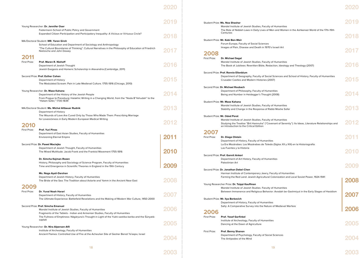Young Researcher Prize: **Dr. Tsippi Kauffman** Mandel Institute of Jewish Studies. Faculty of H Between Immanence and Religious Behavior:

Student Prize: **Mr. Ilya Berkovich** Department of History, Faculty of Humanities Sally: A Comparative Survey into the Nature of

## **2006**<br>First Prize:

**Prof. Yosef Garfinkel** Institute of Archeology, Faculty of Humanities Dancing at the Dawn of Agriculture

|              | Young Researcher: Dr. Jennifer Oser                                                                                                            |  |
|--------------|------------------------------------------------------------------------------------------------------------------------------------------------|--|
|              | Federmann School of Public Policy and Government<br>Expanded Citizen Participation and Participatory Inequality: A Vicious or Virtuous Circle? |  |
|              |                                                                                                                                                |  |
|              | MA/Doctoral Student: MR. Yaron Girsh                                                                                                           |  |
|              | School of Education and Department of Sociology and Anthropology                                                                               |  |
|              | "The Cultural Boundaries of Thinking": Cultural Narratives in the Philosophy of Education of Friedrich<br>Nietzsche and John Dewey             |  |
|              |                                                                                                                                                |  |
|              |                                                                                                                                                |  |
| First Prize: | <b>Prof. Maren R. Niehoff</b><br>Department of Jewish Thought                                                                                  |  |
|              | Jewish Exegesis and Homeric Scholarship in Alexandria (Cambridge, 2011)                                                                        |  |
|              |                                                                                                                                                |  |
|              | Second Prize: Prof. Esther Cohen                                                                                                               |  |
|              | Department of History                                                                                                                          |  |
|              | The Modulated Scream: Pain in Late Medieval Culture. 1755-1816 (Chicago, 2010)                                                                 |  |
|              | Young Researcher: Dr. Maoz Kahana                                                                                                              |  |
|              | Department of the History of the Jewish People                                                                                                 |  |
|              | From Prague to Pressburg: Halakhic Writing in a Changing World, from the "Noda B'Yehudah" to the<br>"Hatam Sofer," 1730-1839                   |  |
|              |                                                                                                                                                |  |
|              | MA/Doctoral Student: Ms. Michal Altbauer Rudnik                                                                                                |  |
|              | Department of History                                                                                                                          |  |
|              | The Wounds of Love Are Cured Only by Those Who Made Them: Prescribing Marriage                                                                 |  |
|              | for Lovesickness in Early Modern European Medical Writing                                                                                      |  |
|              |                                                                                                                                                |  |
| First Prize: | <b>Prof. Yuri Pines</b>                                                                                                                        |  |
|              | Department of East Asian Studies, Faculty of Humanities                                                                                        |  |
|              | <b>Envisioning Eternal Empire</b>                                                                                                              |  |
|              | Second Prize: Dr. Pawel Maciejko                                                                                                               |  |
|              | Department of Jewish Thought, Faculty of Humanities                                                                                            |  |
|              | The Mixed Multitude: Jacob Frank and the Frankist Movement 1755-1816                                                                           |  |
|              | Dr. Simcha Kojman-Rozen                                                                                                                        |  |
|              | History, Philosophy and Sociology of Science Program, Faculty of Humanities                                                                    |  |
|              | Time and Emergence in Scientific Theories in England in the 19th Century                                                                       |  |
|              |                                                                                                                                                |  |
|              | Ms. Noga Ayali-Darshan                                                                                                                         |  |
|              | Department of Jewish History, Faculty of Humanities<br>The Bride of the Sea: The Tradition about Astarte and Yamm in the Ancient Near East     |  |
|              |                                                                                                                                                |  |
|              |                                                                                                                                                |  |
| First Prize: | Dr. Yuval Noah Harari                                                                                                                          |  |
|              | Department of History, Faculty of Humanities                                                                                                   |  |
|              | The Ultimate Experience: Battlefield Revelations and the Making of Modern War Culture, 1450-2000                                               |  |
|              | Second Prize: Prof. Simcha Emanuel                                                                                                             |  |
|              | Mandel Institute of Jewish Studies, Faculty of Humanities                                                                                      |  |
|              | Fragments of the Tablets - Indian and Armenian Studies, Faculty of Humanities                                                                  |  |
|              | The Fullness of Emptiness: Nāgārjuna's Thought in Light of the Yukti-sastika-karika and the Śūnyatā-<br>saptati                                |  |
|              |                                                                                                                                                |  |
|              |                                                                                                                                                |  |
|              | Young Researcher: Dr. Nira Alperson-Afil                                                                                                       |  |
|              | Institute of Archeology, Faculty of Humanities                                                                                                 |  |
|              | Ancient Flames: Controlled Use of Fire at the Acheulian Site of Gesher Benot Ya'aqov, Israel                                                   |  |
|              |                                                                                                                                                |  |

Student Prize: **Ms. Noa Shashar** Mandel Institute of Jewish Studies, Faculty of H The Role of Niddah Laws in Daily Lives of Men Centuries Student Prize: **Mr. Kobi Ben-Meir** Forum Europa, Faculty of Social Sciences Images of Pain, Disease and Death in 1970's Israel **2008 Dr. Michael Segal** Mandel Institute of Jewish Studies, Faculty of H The Book of Jubilees: Rewritten Bible, Redaction, Second Prize: **Prof. Ronnie Ellenblum** Department of Geography, Faculty of Social School Crusader Castles and Modern Histories (2007) Second Prize: **Dr. Michael Roubach** Department of Philosophy, Faculty of Humaniti Being and Number in Heidegger's Thought (20 Student Prize: **Mr. Maoz Kahana** Mandel Institute of Jewish Studies, Faculty of H Stability and Change in the Responsa of Rabbi Student Prize: **Mr. Oded Porat** Mandel Institute of Jewish Studies, Faculty of H Studying the Treatise "Brit Hamnuha" ("Covena an Introduction to the Critical Edition **2007**<br>First Prize: **Dr. Diego Olstein** Department of History, Faculty of Humanities La Era Mozárabes: Los Mozárabes de Toledo ( Las Fuentes y la Historia Second Prize: **Prof. Gannit Ankori** Department of Art History, Faculty of Humanities Palestinian Art Second Prize: **Dr. Jonathan Dekel-Chen**

Harman Institute of Contemporary Jewry, Facult Farming the Red Land: Jewish Agricultural Col

First Prize: **Prof. Benny Shanon** Department of Psychology, Faculty of Social So The Antipodes of the Mind

|                                                                          | 2020 |
|--------------------------------------------------------------------------|------|
| <b>Humanities</b>                                                        | 2019 |
| and Women in the Ashkenazi World of the 17th-19th                        | 2018 |
| raeli Art                                                                | 2017 |
| <b>Humanities</b><br>on, Ideology and Theology (2007)                    | 2016 |
| ciences and School of History, Faculty of Humanities                     | 2015 |
| ies<br>08)                                                               | 2014 |
| <b>Humanities</b><br>Moshe Sofer                                         | 2013 |
| Humanities<br>ant of Serenity"): Its Ideas, Literature Relationships and | 2012 |
|                                                                          | 2011 |
| Siglos XII y XIII) en la Historiografía:                                 | 2010 |
| es                                                                       | 2009 |
| Ilty of Humanities<br>onization and Local Soviet Power, 1924-1941        | 2008 |
| <b>Humanities</b><br>Avodah be-Gashmiyut in the Early Stages of Hasidism | 2007 |
| Medieval Warfare                                                         | 2006 |
|                                                                          | 2005 |
| ciences                                                                  | 2004 |
|                                                                          |      |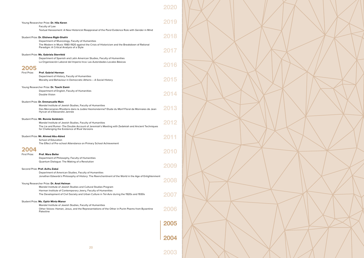|              | Young Researcher Prize: Dr. Hila Keren<br>Faculty of Law                                                                                                                                                                                                 | 2019                     |
|--------------|----------------------------------------------------------------------------------------------------------------------------------------------------------------------------------------------------------------------------------------------------------|--------------------------|
|              | Textual Harassment: A New Historicist Reappraisal of the Parol Evidence Rule with Gender in Mind                                                                                                                                                         |                          |
|              | Student Prize: Dr. Elisheva Rigbi-Shafrir<br>Department of Musicology, Faculty of Humanities                                                                                                                                                             | 2018                     |
|              | The Modern in Music 1980-1920 against the Crisis of Historicism and the Breakdown of Rational<br>Paradigm: A Critical Analysis of a Style                                                                                                                | 2017                     |
|              | Student Prize: Ms. Gabriela Sternfeld                                                                                                                                                                                                                    |                          |
|              | Department of Spanish and Latin American Studies, Faculty of Humanities<br>La Organización Laboral del Imperio Inca: Las Autoridades Locales Básicas                                                                                                     | 2016                     |
| 2005         |                                                                                                                                                                                                                                                          |                          |
| First Prize: | <b>Prof. Gabriel Herman</b><br>Department of History, Faculty of Humanities                                                                                                                                                                              |                          |
|              | Morality and Behaviour in Democratic Athens - A Social History                                                                                                                                                                                           | 2015                     |
|              | Young Researcher Prize: Dr. Tzachi Zamir<br>Department of English, Faculty of Humanities                                                                                                                                                                 |                          |
|              | Double Vision                                                                                                                                                                                                                                            | 2014                     |
|              | Student Prize: Dr. Emmanuelle Main<br>Mandel Institute of Jewish Studies, Faculty of Humanities<br>Des Mercenaires Rhodiens dans la Judée Hasmonéenne? Etude du Morif Floral de Monnaies de Jean<br>Hyrcan et d'Alexandre Jannée                         | 2013                     |
|              | Student Prize: Mr. Ronnie Goldstein<br>Mandel Institute of Jewish Studies, Faculty of Humanities<br>The Lie and Rumor - The Double Account of Jeremiah's Meeting with Zedekiah and Ancient Techniques<br>for Challenging the Existence of Rival Versions | 2012                     |
|              | Student Prize: Mr. Ahmed Abu-Abied<br><b>School of Education</b>                                                                                                                                                                                         |                          |
|              | The Effect of Pre-school Attendance on Primary School Achievement                                                                                                                                                                                        |                          |
|              |                                                                                                                                                                                                                                                          |                          |
| First Prize: | <b>Prof. Mara Beller</b><br>Department of Philosophy, Faculty of Humanities<br>Quantum Dialogue: The Making of a Revolution                                                                                                                              |                          |
|              | Second Prize: Prof. Avihu Zakai                                                                                                                                                                                                                          |                          |
|              | Department of American Studies, Faculty of Humanities<br>Jonathan Edwards's Philosophy of History: The Reenchantment of the World in the Age of Enlightenment                                                                                            |                          |
|              | Young Researcher Prize: Dr. Anat Helman<br>Mandel Institute of Jewish Studies and Cultural Studies Program                                                                                                                                               |                          |
|              | Harman Institute of Contemporary Jewry, Faculty of Humanities<br>The Development of Civil Society and Urban Culture in Tel-Aviv during the 1920s and 1930s                                                                                               |                          |
|              | Student Prize: Ms. Ophir Mintz-Manor<br>Mandel Institute of Jewish Studies, Faculty of Humanities<br>Other Voices: Haman, Jesus, and the Representations of the Other in Purim Poems from Byzantine<br>Palestine                                         |                          |
|              |                                                                                                                                                                                                                                                          | $\overline{\phantom{a}}$ |
|              |                                                                                                                                                                                                                                                          |                          |